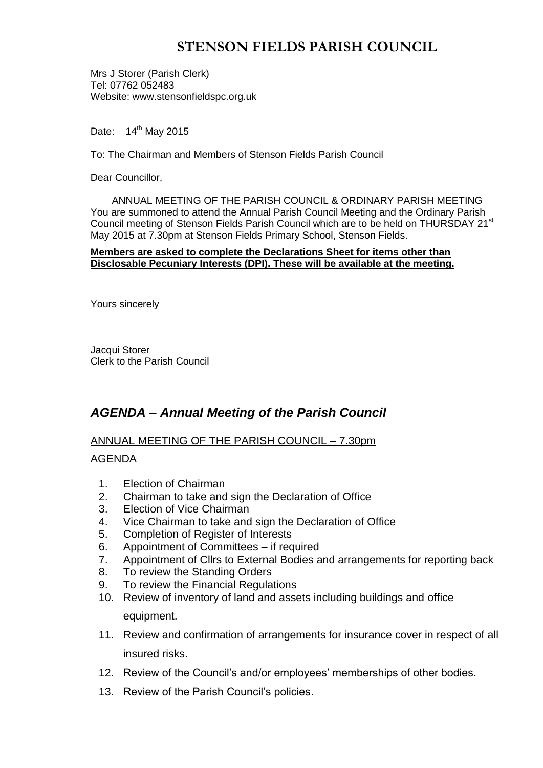# **STENSON FIELDS PARISH COUNCIL**

Mrs J Storer (Parish Clerk) Tel: 07762 052483 Website: www.stensonfieldspc.org.uk

Date: 14<sup>th</sup> May 2015

To: The Chairman and Members of Stenson Fields Parish Council

Dear Councillor,

ANNUAL MEETING OF THE PARISH COUNCIL & ORDINARY PARISH MEETING You are summoned to attend the Annual Parish Council Meeting and the Ordinary Parish Council meeting of Stenson Fields Parish Council which are to be held on THURSDAY 21<sup>st</sup> May 2015 at 7.30pm at Stenson Fields Primary School, Stenson Fields.

#### **Members are asked to complete the Declarations Sheet for items other than Disclosable Pecuniary Interests (DPI). These will be available at the meeting.**

Yours sincerely

Jacqui Storer Clerk to the Parish Council

## *AGENDA – Annual Meeting of the Parish Council*

## ANNUAL MEETING OF THE PARISH COUNCIL – 7.30pm

### AGENDA

- 1. Election of Chairman
- 2. Chairman to take and sign the Declaration of Office
- 3. Election of Vice Chairman
- 4. Vice Chairman to take and sign the Declaration of Office
- 5. Completion of Register of Interests
- 6. Appointment of Committees if required
- 7. Appointment of Cllrs to External Bodies and arrangements for reporting back
- 8. To review the Standing Orders
- 9. To review the Financial Regulations
- 10. Review of inventory of land and assets including buildings and office equipment.
- 11. Review and confirmation of arrangements for insurance cover in respect of all insured risks.
- 12. Review of the Council's and/or employees' memberships of other bodies.
- 13. Review of the Parish Council's policies.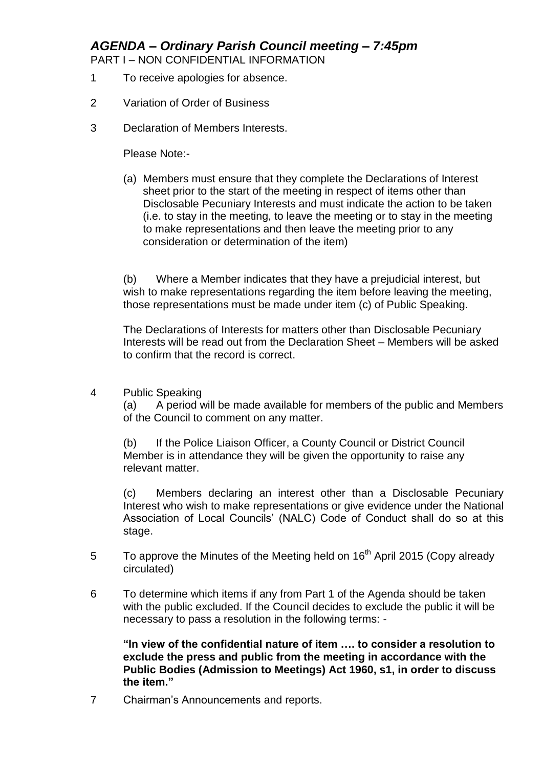*AGENDA – Ordinary Parish Council meeting – 7:45pm*

PART I – NON CONFIDENTIAL INFORMATION

- 1 To receive apologies for absence.
- 2 Variation of Order of Business
- 3 Declaration of Members Interests.

Please Note:-

(a) Members must ensure that they complete the Declarations of Interest sheet prior to the start of the meeting in respect of items other than Disclosable Pecuniary Interests and must indicate the action to be taken (i.e. to stay in the meeting, to leave the meeting or to stay in the meeting to make representations and then leave the meeting prior to any consideration or determination of the item)

(b) Where a Member indicates that they have a prejudicial interest, but wish to make representations regarding the item before leaving the meeting, those representations must be made under item (c) of Public Speaking.

The Declarations of Interests for matters other than Disclosable Pecuniary Interests will be read out from the Declaration Sheet – Members will be asked to confirm that the record is correct.

4 Public Speaking

(a) A period will be made available for members of the public and Members of the Council to comment on any matter.

(b) If the Police Liaison Officer, a County Council or District Council Member is in attendance they will be given the opportunity to raise any relevant matter.

(c) Members declaring an interest other than a Disclosable Pecuniary Interest who wish to make representations or give evidence under the National Association of Local Councils' (NALC) Code of Conduct shall do so at this stage.

- 5 To approve the Minutes of the Meeting held on  $16<sup>th</sup>$  April 2015 (Copy already circulated)
- 6 To determine which items if any from Part 1 of the Agenda should be taken with the public excluded. If the Council decides to exclude the public it will be necessary to pass a resolution in the following terms: -

**"In view of the confidential nature of item …. to consider a resolution to exclude the press and public from the meeting in accordance with the Public Bodies (Admission to Meetings) Act 1960, s1, in order to discuss the item."** 

7 Chairman's Announcements and reports.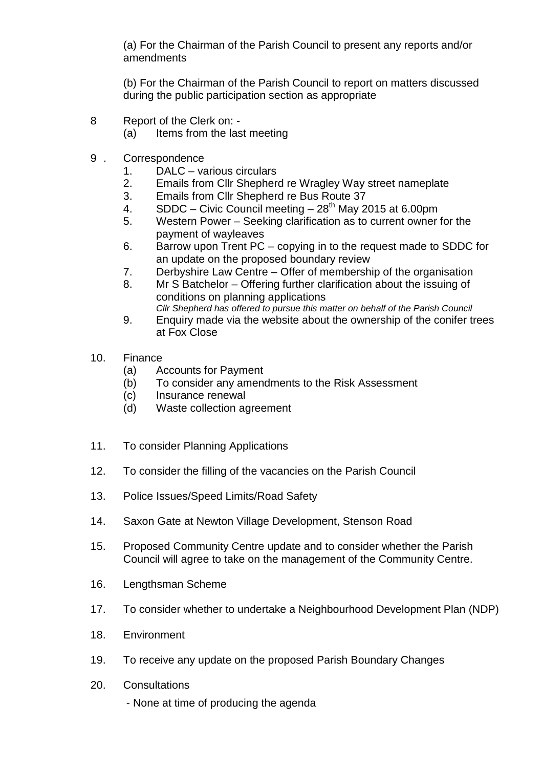(a) For the Chairman of the Parish Council to present any reports and/or amendments

(b) For the Chairman of the Parish Council to report on matters discussed during the public participation section as appropriate

- 8 Report of the Clerk on:
	- (a) Items from the last meeting
- 9 . Correspondence
	- 1. DALC various circulars
	- 2. Emails from Cllr Shepherd re Wragley Way street nameplate
	- 3. Emails from Cllr Shepherd re Bus Route 37
	- 4. SDDC Civic Council meeting  $28<sup>th</sup>$  May 2015 at 6.00pm
	- 5. Western Power Seeking clarification as to current owner for the payment of wayleaves
	- 6. Barrow upon Trent PC copying in to the request made to SDDC for an update on the proposed boundary review
	- 7. Derbyshire Law Centre Offer of membership of the organisation
	- 8. Mr S Batchelor Offering further clarification about the issuing of conditions on planning applications *Cllr Shepherd has offered to pursue this matter on behalf of the Parish Council*
	- 9. Enquiry made via the website about the ownership of the conifer trees at Fox Close
- 10. Finance
	- (a) Accounts for Payment
	- (b) To consider any amendments to the Risk Assessment
	- (c) Insurance renewal
	- (d) Waste collection agreement
- 11. To consider Planning Applications
- 12. To consider the filling of the vacancies on the Parish Council
- 13. Police Issues/Speed Limits/Road Safety
- 14. Saxon Gate at Newton Village Development, Stenson Road
- 15. Proposed Community Centre update and to consider whether the Parish Council will agree to take on the management of the Community Centre.
- 16. Lengthsman Scheme
- 17. To consider whether to undertake a Neighbourhood Development Plan (NDP)
- 18. Environment
- 19. To receive any update on the proposed Parish Boundary Changes
- 20. Consultations
	- None at time of producing the agenda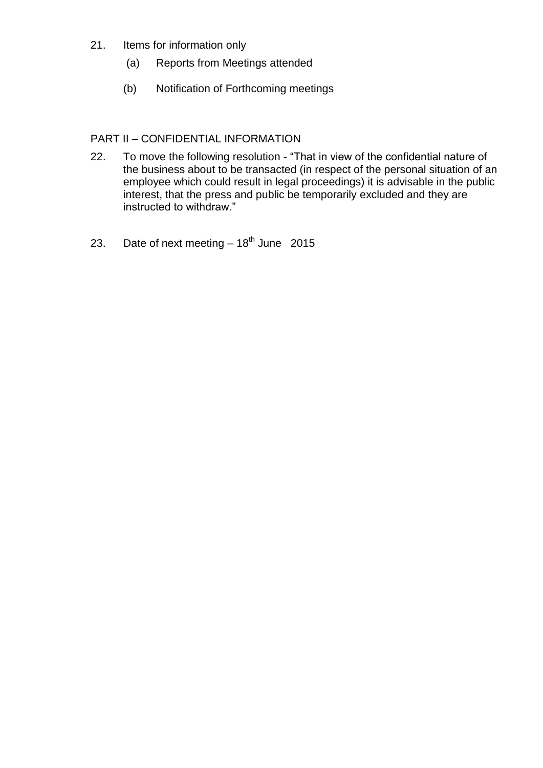- 21. Items for information only
	- (a) Reports from Meetings attended
	- (b) Notification of Forthcoming meetings

## PART II – CONFIDENTIAL INFORMATION

- 22. To move the following resolution "That in view of the confidential nature of the business about to be transacted (in respect of the personal situation of an employee which could result in legal proceedings) it is advisable in the public interest, that the press and public be temporarily excluded and they are instructed to withdraw."
- 23. Date of next meeting  $-18^{th}$  June 2015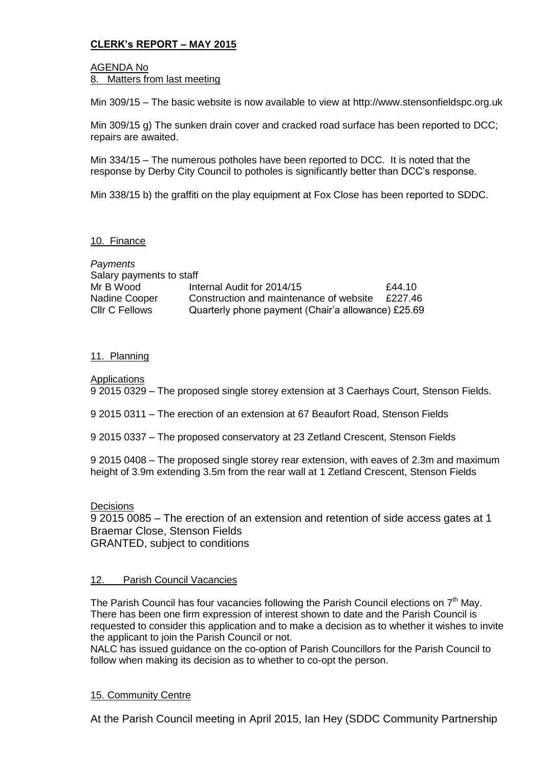## **CLERK's REPORT – MAY 2015**

## AGENDA No

8. Matters from last meeting

Min 309/15 – The basic website is now available to view at http://www.stensonfieldspc.org.uk

Min 309/15 g) The sunken drain cover and cracked road surface has been reported to DCC; repairs are awaited.

Min 334/15 – The numerous potholes have been reported to DCC. It is noted that the response by Derby City Council to potholes is significantly better than DCC's response.

Min 338/15 b) the graffiti on the play equipment at Fox Close has been reported to SDDC.

### 10. Finance

| Payments                 |                                                    |         |
|--------------------------|----------------------------------------------------|---------|
| Salary payments to staff |                                                    |         |
| Mr B Wood                | Internal Audit for 2014/15                         | £44.10  |
| Nadine Cooper            | Construction and maintenance of website            | £227.46 |
| <b>CIIr C Fellows</b>    | Quarterly phone payment (Chair'a allowance) £25.69 |         |

### 11. Planning

Applications

9 2015 0329 – The proposed single storey extension at 3 Caerhays Court, Stenson Fields.

9 2015 0311 – The erection of an extension at 67 Beaufort Road, Stenson Fields

9 2015 0337 – The proposed conservatory at 23 Zetland Crescent, Stenson Fields

9 2015 0408 – The proposed single storey rear extension, with eaves of 2.3m and maximum height of 3.9m extending 3.5m from the rear wall at 1 Zetland Crescent, Stenson Fields

### Decisions

9 2015 0085 – The erection of an extension and retention of side access gates at 1 Braemar Close, Stenson Fields GRANTED, subject to conditions

### 12. Parish Council Vacancies

The Parish Council has four vacancies following the Parish Council elections on  $7<sup>th</sup>$  Mav. There has been one firm expression of interest shown to date and the Parish Council is requested to consider this application and to make a decision as to whether it wishes to invite the applicant to join the Parish Council or not.

NALC has issued guidance on the co-option of Parish Councillors for the Parish Council to follow when making its decision as to whether to co-opt the person.

### 15. Community Centre

At the Parish Council meeting in April 2015, Ian Hey (SDDC Community Partnership